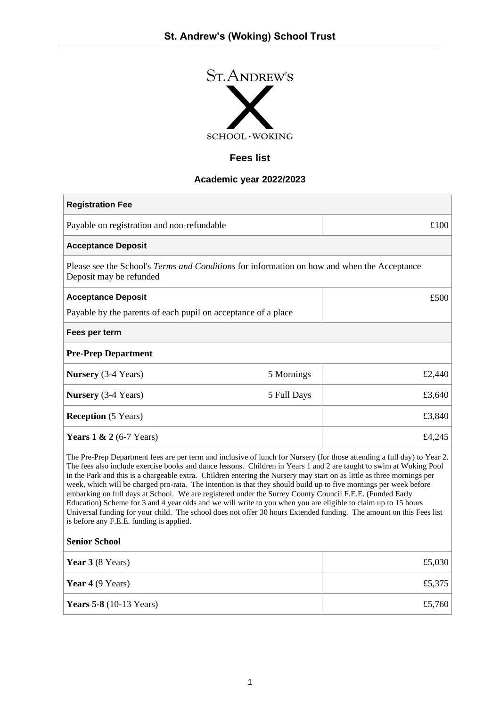

# **Fees list**

# **Academic year 2022/2023**

| <b>Registration Fee</b>                                                                                                                                                                                                                                                                                                                                                                                                                                                                                                                                                                                                                                                                                                                                                                                                                                                                         |             |        |
|-------------------------------------------------------------------------------------------------------------------------------------------------------------------------------------------------------------------------------------------------------------------------------------------------------------------------------------------------------------------------------------------------------------------------------------------------------------------------------------------------------------------------------------------------------------------------------------------------------------------------------------------------------------------------------------------------------------------------------------------------------------------------------------------------------------------------------------------------------------------------------------------------|-------------|--------|
| Payable on registration and non-refundable                                                                                                                                                                                                                                                                                                                                                                                                                                                                                                                                                                                                                                                                                                                                                                                                                                                      |             | £100   |
| <b>Acceptance Deposit</b>                                                                                                                                                                                                                                                                                                                                                                                                                                                                                                                                                                                                                                                                                                                                                                                                                                                                       |             |        |
| Please see the School's Terms and Conditions for information on how and when the Acceptance<br>Deposit may be refunded                                                                                                                                                                                                                                                                                                                                                                                                                                                                                                                                                                                                                                                                                                                                                                          |             |        |
| <b>Acceptance Deposit</b>                                                                                                                                                                                                                                                                                                                                                                                                                                                                                                                                                                                                                                                                                                                                                                                                                                                                       |             | £500   |
| Payable by the parents of each pupil on acceptance of a place                                                                                                                                                                                                                                                                                                                                                                                                                                                                                                                                                                                                                                                                                                                                                                                                                                   |             |        |
| Fees per term                                                                                                                                                                                                                                                                                                                                                                                                                                                                                                                                                                                                                                                                                                                                                                                                                                                                                   |             |        |
| <b>Pre-Prep Department</b>                                                                                                                                                                                                                                                                                                                                                                                                                                                                                                                                                                                                                                                                                                                                                                                                                                                                      |             |        |
| <b>Nursery</b> (3-4 Years)                                                                                                                                                                                                                                                                                                                                                                                                                                                                                                                                                                                                                                                                                                                                                                                                                                                                      | 5 Mornings  | £2,440 |
| <b>Nursery</b> (3-4 Years)                                                                                                                                                                                                                                                                                                                                                                                                                                                                                                                                                                                                                                                                                                                                                                                                                                                                      | 5 Full Days | £3,640 |
| <b>Reception</b> (5 Years)                                                                                                                                                                                                                                                                                                                                                                                                                                                                                                                                                                                                                                                                                                                                                                                                                                                                      |             | £3,840 |
| Years $1 \& 2 (6-7 \text{ Years})$                                                                                                                                                                                                                                                                                                                                                                                                                                                                                                                                                                                                                                                                                                                                                                                                                                                              |             | £4,245 |
| The Pre-Prep Department fees are per term and inclusive of lunch for Nursery (for those attending a full day) to Year 2.<br>The fees also include exercise books and dance lessons. Children in Years 1 and 2 are taught to swim at Woking Pool<br>in the Park and this is a chargeable extra. Children entering the Nursery may start on as little as three mornings per<br>week, which will be charged pro-rata. The intention is that they should build up to five mornings per week before<br>embarking on full days at School. We are registered under the Surrey County Council F.E.E. (Funded Early<br>Education) Scheme for 3 and 4 year olds and we will write to you when you are eligible to claim up to 15 hours<br>Universal funding for your child. The school does not offer 30 hours Extended funding. The amount on this Fees list<br>is before any F.E.E. funding is applied. |             |        |
| <b>Senior School</b>                                                                                                                                                                                                                                                                                                                                                                                                                                                                                                                                                                                                                                                                                                                                                                                                                                                                            |             |        |
| Year 3 (8 Years)                                                                                                                                                                                                                                                                                                                                                                                                                                                                                                                                                                                                                                                                                                                                                                                                                                                                                |             | £5,030 |
| Year 4 (9 Years)                                                                                                                                                                                                                                                                                                                                                                                                                                                                                                                                                                                                                                                                                                                                                                                                                                                                                |             | £5,375 |
| <b>Years 5-8</b> (10-13 Years)                                                                                                                                                                                                                                                                                                                                                                                                                                                                                                                                                                                                                                                                                                                                                                                                                                                                  |             | £5,760 |